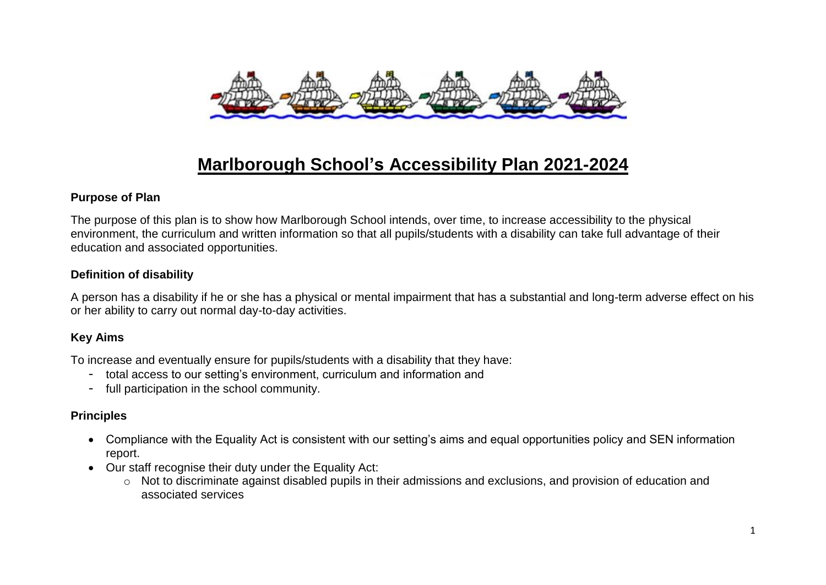

# **Marlborough School's Accessibility Plan 2021-2024**

#### **Purpose of Plan**

The purpose of this plan is to show how Marlborough School intends, over time, to increase accessibility to the physical environment, the curriculum and written information so that all pupils/students with a disability can take full advantage of their education and associated opportunities.

#### **Definition of disability**

A person has a disability if he or she has a physical or mental impairment that has a substantial and long-term adverse effect on his or her ability to carry out normal day-to-day activities.

# **Key Aims**

To increase and eventually ensure for pupils/students with a disability that they have:

- total access to our setting's environment, curriculum and information and
- full participation in the school community.

# **Principles**

- Compliance with the Equality Act is consistent with our setting's aims and equal opportunities policy and SEN information report.
- Our staff recognise their duty under the Equality Act:
	- o Not to discriminate against disabled pupils in their admissions and exclusions, and provision of education and associated services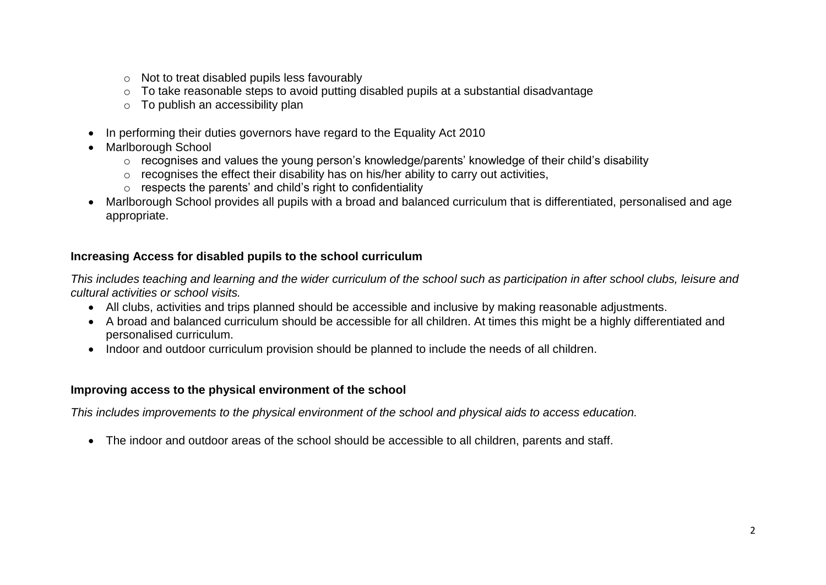- o Not to treat disabled pupils less favourably
- o To take reasonable steps to avoid putting disabled pupils at a substantial disadvantage
- o To publish an accessibility plan
- In performing their duties governors have regard to the Equality Act 2010
- Marlborough School
	- o recognises and values the young person's knowledge/parents' knowledge of their child's disability
	- o recognises the effect their disability has on his/her ability to carry out activities,
	- $\circ$  respects the parents' and child's right to confidentiality
- Marlborough School provides all pupils with a broad and balanced curriculum that is differentiated, personalised and age appropriate.

# **Increasing Access for disabled pupils to the school curriculum**

*This includes teaching and learning and the wider curriculum of the school such as participation in after school clubs, leisure and cultural activities or school visits.*

- All clubs, activities and trips planned should be accessible and inclusive by making reasonable adjustments.
- A broad and balanced curriculum should be accessible for all children. At times this might be a highly differentiated and personalised curriculum.
- Indoor and outdoor curriculum provision should be planned to include the needs of all children.

# **Improving access to the physical environment of the school**

*This includes improvements to the physical environment of the school and physical aids to access education.*

• The indoor and outdoor areas of the school should be accessible to all children, parents and staff.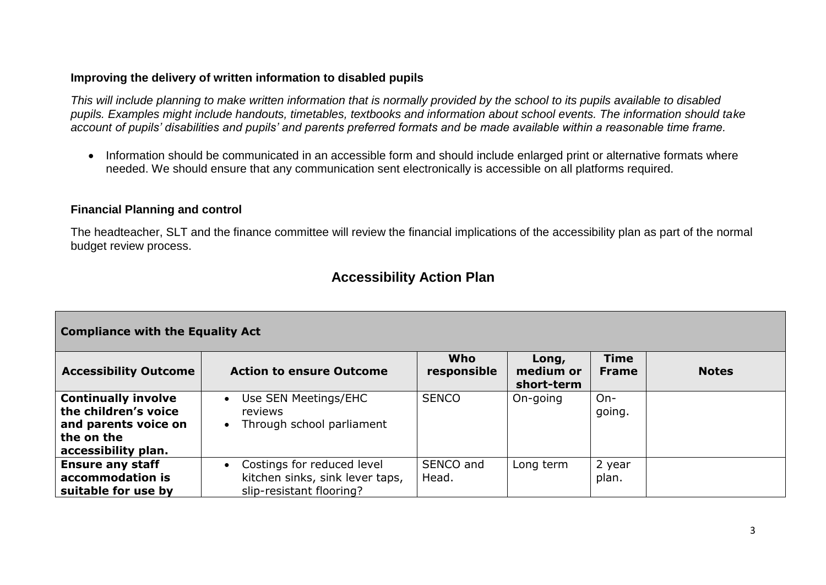#### **Improving the delivery of written information to disabled pupils**

*This will include planning to make written information that is normally provided by the school to its pupils available to disabled pupils. Examples might include handouts, timetables, textbooks and information about school events. The information should take account of pupils' disabilities and pupils' and parents preferred formats and be made available within a reasonable time frame.*

• Information should be communicated in an accessible form and should include enlarged print or alternative formats where needed. We should ensure that any communication sent electronically is accessible on all platforms required.

#### **Financial Planning and control**

The headteacher, SLT and the finance committee will review the financial implications of the accessibility plan as part of the normal budget review process.

# **Accessibility Action Plan**

| <b>Compliance with the Equality Act</b>                                                                         |                                                                                                        |                    |                                  |                             |              |  |  |
|-----------------------------------------------------------------------------------------------------------------|--------------------------------------------------------------------------------------------------------|--------------------|----------------------------------|-----------------------------|--------------|--|--|
| <b>Accessibility Outcome</b>                                                                                    | <b>Action to ensure Outcome</b>                                                                        | Who<br>responsible | Long,<br>medium or<br>short-term | <b>Time</b><br><b>Frame</b> | <b>Notes</b> |  |  |
| <b>Continually involve</b><br>the children's voice<br>and parents voice on<br>the on the<br>accessibility plan. | Use SEN Meetings/EHC<br>$\bullet$<br>reviews<br>Through school parliament<br>$\bullet$                 | <b>SENCO</b>       | On-going                         | $On-$<br>going.             |              |  |  |
| <b>Ensure any staff</b><br>accommodation is<br>suitable for use by                                              | Costings for reduced level<br>$\bullet$<br>kitchen sinks, sink lever taps,<br>slip-resistant flooring? | SENCO and<br>Head. | Long term                        | 2 year<br>plan.             |              |  |  |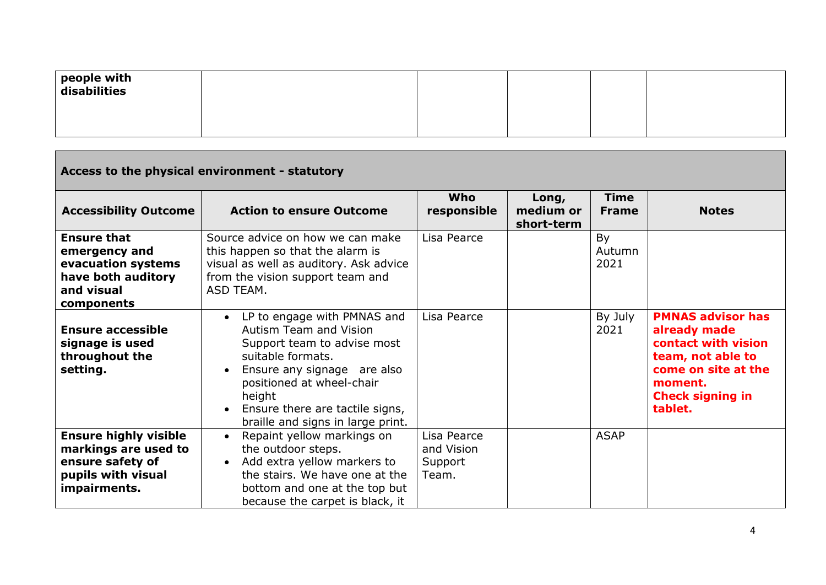| people with<br>disabilities |  |  |  |
|-----------------------------|--|--|--|
|                             |  |  |  |

| Access to the physical environment - statutory                                                                 |                                                                                                                                                                                                                                                         |                                               |                                  |                             |                                                                                                                                                              |  |
|----------------------------------------------------------------------------------------------------------------|---------------------------------------------------------------------------------------------------------------------------------------------------------------------------------------------------------------------------------------------------------|-----------------------------------------------|----------------------------------|-----------------------------|--------------------------------------------------------------------------------------------------------------------------------------------------------------|--|
| <b>Accessibility Outcome</b>                                                                                   | <b>Action to ensure Outcome</b>                                                                                                                                                                                                                         | Who<br>responsible                            | Long,<br>medium or<br>short-term | <b>Time</b><br><b>Frame</b> | <b>Notes</b>                                                                                                                                                 |  |
| <b>Ensure that</b><br>emergency and<br>evacuation systems<br>have both auditory<br>and visual<br>components    | Source advice on how we can make<br>this happen so that the alarm is<br>visual as well as auditory. Ask advice<br>from the vision support team and<br>ASD TEAM.                                                                                         | Lisa Pearce                                   |                                  | By<br>Autumn<br>2021        |                                                                                                                                                              |  |
| <b>Ensure accessible</b><br>signage is used<br>throughout the<br>setting.                                      | LP to engage with PMNAS and<br>Autism Team and Vision<br>Support team to advise most<br>suitable formats.<br>Ensure any signage are also<br>positioned at wheel-chair<br>height<br>Ensure there are tactile signs,<br>braille and signs in large print. | Lisa Pearce                                   |                                  | By July<br>2021             | <b>PMNAS advisor has</b><br>already made<br>contact with vision<br>team, not able to<br>come on site at the<br>moment.<br><b>Check signing in</b><br>tablet. |  |
| <b>Ensure highly visible</b><br>markings are used to<br>ensure safety of<br>pupils with visual<br>impairments. | Repaint yellow markings on<br>the outdoor steps.<br>Add extra yellow markers to<br>$\bullet$<br>the stairs. We have one at the<br>bottom and one at the top but<br>because the carpet is black, it                                                      | Lisa Pearce<br>and Vision<br>Support<br>Team. |                                  | <b>ASAP</b>                 |                                                                                                                                                              |  |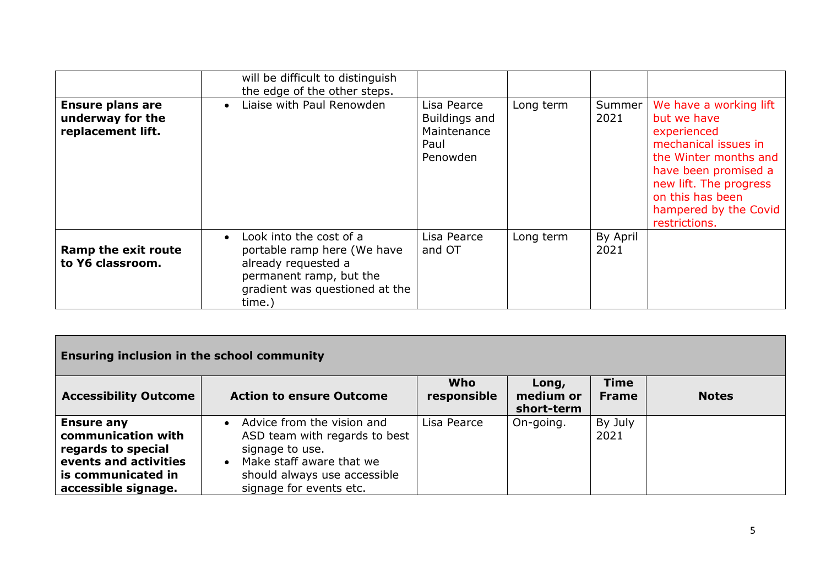|                                                                  | will be difficult to distinguish<br>the edge of the other steps.                                                                                                  |                                                                 |           |                  |                                                                                                                                                                                                                       |
|------------------------------------------------------------------|-------------------------------------------------------------------------------------------------------------------------------------------------------------------|-----------------------------------------------------------------|-----------|------------------|-----------------------------------------------------------------------------------------------------------------------------------------------------------------------------------------------------------------------|
| <b>Ensure plans are</b><br>underway for the<br>replacement lift. | Liaise with Paul Renowden<br>$\bullet$                                                                                                                            | Lisa Pearce<br>Buildings and<br>Maintenance<br>Paul<br>Penowden | Long term | Summer<br>2021   | We have a working lift<br>but we have<br>experienced<br>mechanical issues in<br>the Winter months and<br>have been promised a<br>new lift. The progress<br>on this has been<br>hampered by the Covid<br>restrictions. |
| Ramp the exit route<br>to Y6 classroom.                          | Look into the cost of a<br>$\bullet$<br>portable ramp here (We have<br>already requested a<br>permanent ramp, but the<br>gradient was questioned at the<br>time.) | Lisa Pearce<br>and OT                                           | Long term | By April<br>2021 |                                                                                                                                                                                                                       |

| <b>Ensuring inclusion in the school community</b>                                      |                                                                                                                                      |                           |                                  |                             |              |  |
|----------------------------------------------------------------------------------------|--------------------------------------------------------------------------------------------------------------------------------------|---------------------------|----------------------------------|-----------------------------|--------------|--|
| <b>Accessibility Outcome</b>                                                           | <b>Action to ensure Outcome</b>                                                                                                      | <b>Who</b><br>responsible | Long,<br>medium or<br>short-term | <b>Time</b><br><b>Frame</b> | <b>Notes</b> |  |
| <b>Ensure any</b><br>communication with<br>regards to special<br>events and activities | Advice from the vision and<br>$\bullet$<br>ASD team with regards to best<br>signage to use.<br>Make staff aware that we<br>$\bullet$ | Lisa Pearce               | On-going.                        | By July<br>2021             |              |  |
| is communicated in<br>accessible signage.                                              | should always use accessible<br>signage for events etc.                                                                              |                           |                                  |                             |              |  |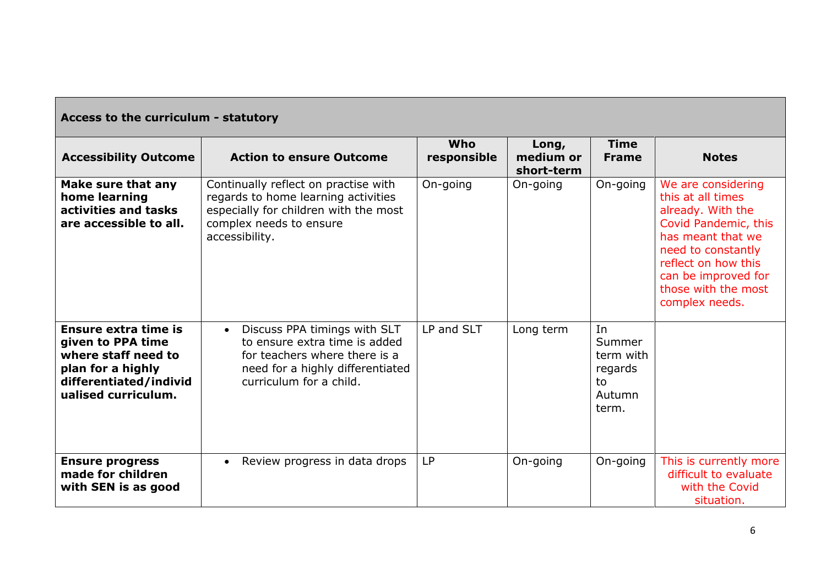| Access to the curriculum - statutory                                                                                                   |                                                                                                                                                                            |                           |                                  |                                                               |                                                                                                                                                                                                                        |  |
|----------------------------------------------------------------------------------------------------------------------------------------|----------------------------------------------------------------------------------------------------------------------------------------------------------------------------|---------------------------|----------------------------------|---------------------------------------------------------------|------------------------------------------------------------------------------------------------------------------------------------------------------------------------------------------------------------------------|--|
| <b>Accessibility Outcome</b>                                                                                                           | <b>Action to ensure Outcome</b>                                                                                                                                            | <b>Who</b><br>responsible | Long,<br>medium or<br>short-term | <b>Time</b><br><b>Frame</b>                                   | <b>Notes</b>                                                                                                                                                                                                           |  |
| Make sure that any<br>home learning<br>activities and tasks<br>are accessible to all.                                                  | Continually reflect on practise with<br>regards to home learning activities<br>especially for children with the most<br>complex needs to ensure<br>accessibility.          | On-going                  | On-going                         | On-going                                                      | We are considering<br>this at all times<br>already. With the<br>Covid Pandemic, this<br>has meant that we<br>need to constantly<br>reflect on how this<br>can be improved for<br>those with the most<br>complex needs. |  |
| Ensure extra time is<br>given to PPA time<br>where staff need to<br>plan for a highly<br>differentiated/individ<br>ualised curriculum. | Discuss PPA timings with SLT<br>$\bullet$<br>to ensure extra time is added<br>for teachers where there is a<br>need for a highly differentiated<br>curriculum for a child. | LP and SLT                | Long term                        | In<br>Summer<br>term with<br>regards<br>to<br>Autumn<br>term. |                                                                                                                                                                                                                        |  |
| <b>Ensure progress</b><br>made for children<br>with SEN is as good                                                                     | Review progress in data drops<br>$\bullet$                                                                                                                                 | <b>LP</b>                 | On-going                         | On-going                                                      | This is currently more<br>difficult to evaluate<br>with the Covid<br>situation.                                                                                                                                        |  |